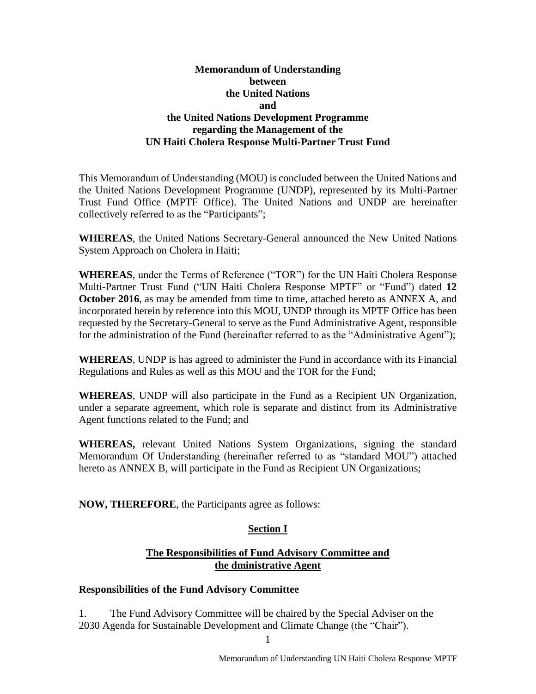## **Memorandum of Understanding between the United Nations and the United Nations Development Programme regarding the Management of the UN Haiti Cholera Response Multi-Partner Trust Fund**

This Memorandum of Understanding (MOU) is concluded between the United Nations and the United Nations Development Programme (UNDP), represented by its Multi-Partner Trust Fund Office (MPTF Office). The United Nations and UNDP are hereinafter collectively referred to as the "Participants";

**WHEREAS**, the United Nations Secretary-General announced the New United Nations System Approach on Cholera in Haiti;

**WHEREAS**, under the Terms of Reference ("TOR") for the UN Haiti Cholera Response Multi-Partner Trust Fund ("UN Haiti Cholera Response MPTF" or "Fund") dated **12 October 2016**, as may be amended from time to time, attached hereto as ANNEX A, and incorporated herein by reference into this MOU, UNDP through its MPTF Office has been requested by the Secretary-General to serve as the Fund Administrative Agent, responsible for the administration of the Fund (hereinafter referred to as the "Administrative Agent");

**WHEREAS**, UNDP is has agreed to administer the Fund in accordance with its Financial Regulations and Rules as well as this MOU and the TOR for the Fund;

**WHEREAS**, UNDP will also participate in the Fund as a Recipient UN Organization, under a separate agreement, which role is separate and distinct from its Administrative Agent functions related to the Fund; and

**WHEREAS,** relevant United Nations System Organizations, signing the standard Memorandum Of Understanding (hereinafter referred to as "standard MOU") attached hereto as ANNEX B, will participate in the Fund as Recipient UN Organizations;

**NOW, THEREFORE**, the Participants agree as follows:

## **Section I**

## **The Responsibilities of Fund Advisory Committee and the dministrative Agent**

#### **Responsibilities of the Fund Advisory Committee**

1. The Fund Advisory Committee will be chaired by the Special Adviser on the 2030 Agenda for Sustainable Development and Climate Change (the "Chair").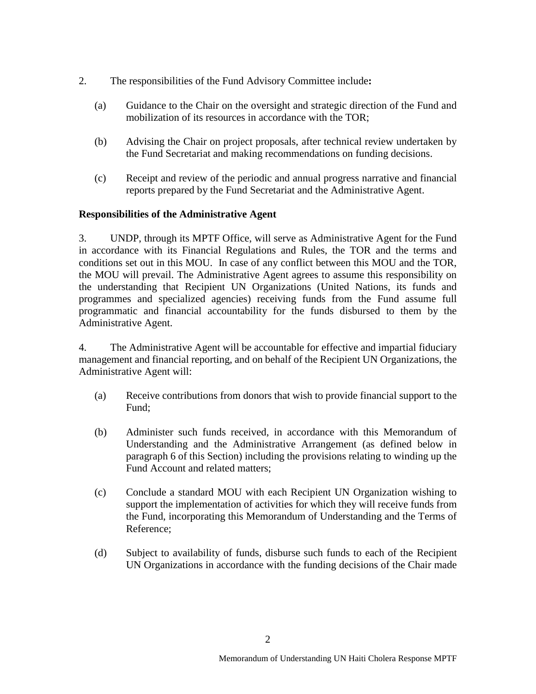- 2. The responsibilities of the Fund Advisory Committee include**:** 
	- (a) Guidance to the Chair on the oversight and strategic direction of the Fund and mobilization of its resources in accordance with the TOR;
	- (b) Advising the Chair on project proposals, after technical review undertaken by the Fund Secretariat and making recommendations on funding decisions.
	- (c) Receipt and review of the periodic and annual progress narrative and financial reports prepared by the Fund Secretariat and the Administrative Agent.

#### **Responsibilities of the Administrative Agent**

3. UNDP, through its MPTF Office, will serve as Administrative Agent for the Fund in accordance with its Financial Regulations and Rules, the TOR and the terms and conditions set out in this MOU. In case of any conflict between this MOU and the TOR, the MOU will prevail. The Administrative Agent agrees to assume this responsibility on the understanding that Recipient UN Organizations (United Nations, its funds and programmes and specialized agencies) receiving funds from the Fund assume full programmatic and financial accountability for the funds disbursed to them by the Administrative Agent.

4. The Administrative Agent will be accountable for effective and impartial fiduciary management and financial reporting, and on behalf of the Recipient UN Organizations, the Administrative Agent will:

- (a) Receive contributions from donors that wish to provide financial support to the Fund;
- (b) Administer such funds received, in accordance with this Memorandum of Understanding and the Administrative Arrangement (as defined below in paragraph 6 of this Section) including the provisions relating to winding up the Fund Account and related matters;
- (c) Conclude a standard MOU with each Recipient UN Organization wishing to support the implementation of activities for which they will receive funds from the Fund, incorporating this Memorandum of Understanding and the Terms of Reference;
- (d) Subject to availability of funds, disburse such funds to each of the Recipient UN Organizations in accordance with the funding decisions of the Chair made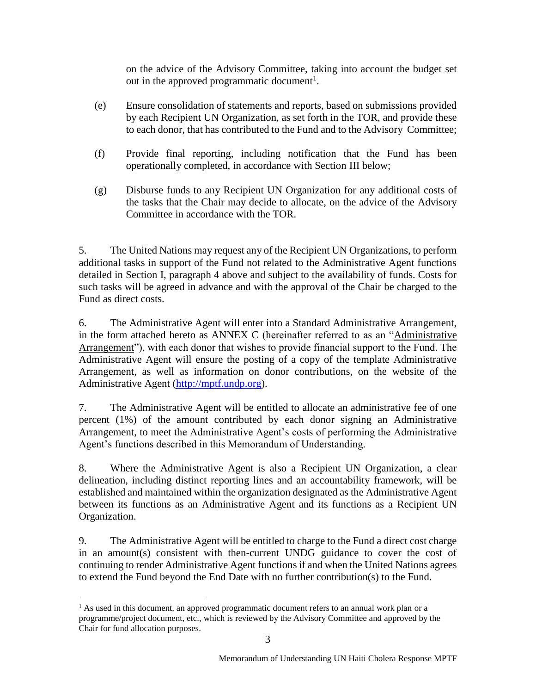on the advice of the Advisory Committee, taking into account the budget set out in the approved programmatic document<sup>1</sup>.

- (e) Ensure consolidation of statements and reports, based on submissions provided by each Recipient UN Organization, as set forth in the TOR, and provide these to each donor, that has contributed to the Fund and to the Advisory Committee;
- (f) Provide final reporting, including notification that the Fund has been operationally completed, in accordance with Section III below;
- (g) Disburse funds to any Recipient UN Organization for any additional costs of the tasks that the Chair may decide to allocate, on the advice of the Advisory Committee in accordance with the TOR.

5. The United Nations may request any of the Recipient UN Organizations, to perform additional tasks in support of the Fund not related to the Administrative Agent functions detailed in Section I, paragraph 4 above and subject to the availability of funds. Costs for such tasks will be agreed in advance and with the approval of the Chair be charged to the Fund as direct costs.

6. The Administrative Agent will enter into a Standard Administrative Arrangement, in the form attached hereto as ANNEX C (hereinafter referred to as an "Administrative Arrangement"), with each donor that wishes to provide financial support to the Fund. The Administrative Agent will ensure the posting of a copy of the template Administrative Arrangement, as well as information on donor contributions, on the website of the Administrative Agent [\(http://mptf.undp.org\)](http://mptf.undp.org/).

7. The Administrative Agent will be entitled to allocate an administrative fee of one percent (1%) of the amount contributed by each donor signing an Administrative Arrangement, to meet the Administrative Agent's costs of performing the Administrative Agent's functions described in this Memorandum of Understanding.

8. Where the Administrative Agent is also a Recipient UN Organization, a clear delineation, including distinct reporting lines and an accountability framework, will be established and maintained within the organization designated as the Administrative Agent between its functions as an Administrative Agent and its functions as a Recipient UN Organization.

9. The Administrative Agent will be entitled to charge to the Fund a direct cost charge in an amount(s) consistent with then-current UNDG guidance to cover the cost of continuing to render Administrative Agent functions if and when the United Nations agrees to extend the Fund beyond the End Date with no further contribution(s) to the Fund.

 $\overline{a}$ <sup>1</sup> As used in this document, an approved programmatic document refers to an annual work plan or a programme/project document, etc., which is reviewed by the Advisory Committee and approved by the Chair for fund allocation purposes.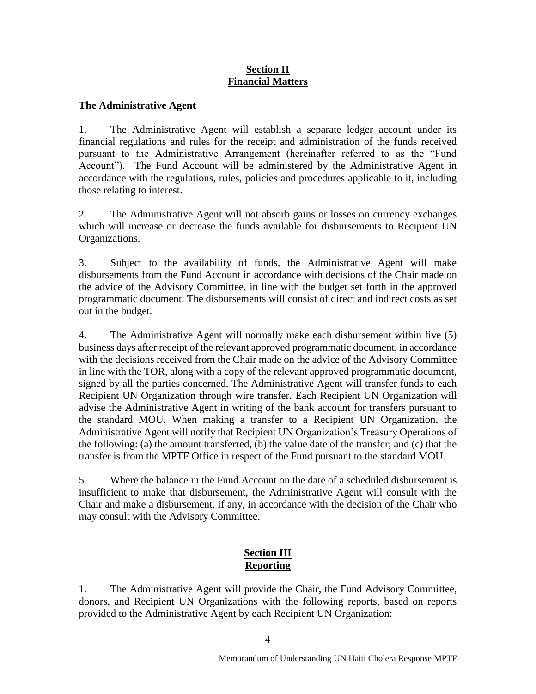## **Section II Financial Matters**

## **The Administrative Agent**

1. The Administrative Agent will establish a separate ledger account under its financial regulations and rules for the receipt and administration of the funds received pursuant to the Administrative Arrangement (hereinafter referred to as the "Fund Account"). The Fund Account will be administered by the Administrative Agent in accordance with the regulations, rules, policies and procedures applicable to it, including those relating to interest.

2. The Administrative Agent will not absorb gains or losses on currency exchanges which will increase or decrease the funds available for disbursements to Recipient UN Organizations.

3. Subject to the availability of funds, the Administrative Agent will make disbursements from the Fund Account in accordance with decisions of the Chair made on the advice of the Advisory Committee, in line with the budget set forth in the approved programmatic document. The disbursements will consist of direct and indirect costs as set out in the budget.

4. The Administrative Agent will normally make each disbursement within five (5) business days after receipt of the relevant approved programmatic document, in accordance with the decisions received from the Chair made on the advice of the Advisory Committee in line with the TOR, along with a copy of the relevant approved programmatic document, signed by all the parties concerned. The Administrative Agent will transfer funds to each Recipient UN Organization through wire transfer. Each Recipient UN Organization will advise the Administrative Agent in writing of the bank account for transfers pursuant to the standard MOU. When making a transfer to a Recipient UN Organization, the Administrative Agent will notify that Recipient UN Organization's Treasury Operations of the following: (a) the amount transferred, (b) the value date of the transfer; and (c) that the transfer is from the MPTF Office in respect of the Fund pursuant to the standard MOU.

5. Where the balance in the Fund Account on the date of a scheduled disbursement is insufficient to make that disbursement, the Administrative Agent will consult with the Chair and make a disbursement, if any, in accordance with the decision of the Chair who may consult with the Advisory Committee.

## **Section III Reporting**

1. The Administrative Agent will provide the Chair, the Fund Advisory Committee, donors, and Recipient UN Organizations with the following reports, based on reports provided to the Administrative Agent by each Recipient UN Organization: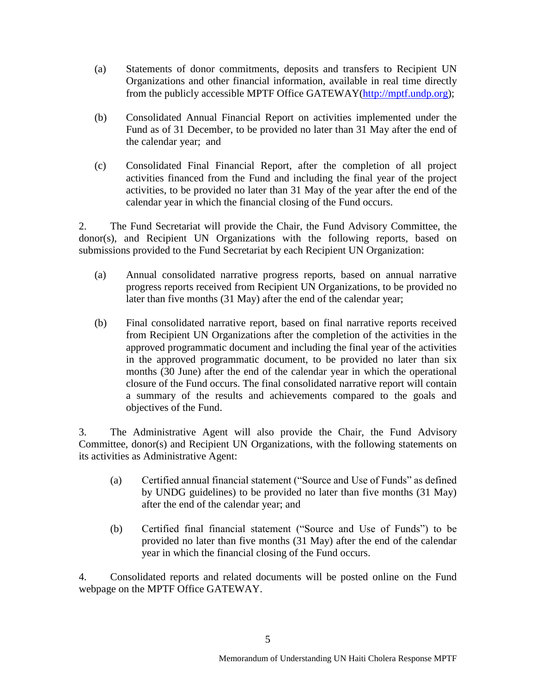- (a) Statements of donor commitments, deposits and transfers to Recipient UN Organizations and other financial information, available in real time directly from the publicly accessible MPTF Office GATEWAY[\(http://mptf.undp.org\)](http://mptf.undp.org/);
- (b) Consolidated Annual Financial Report on activities implemented under the Fund as of 31 December, to be provided no later than 31 May after the end of the calendar year; and
- (c) Consolidated Final Financial Report, after the completion of all project activities financed from the Fund and including the final year of the project activities, to be provided no later than 31 May of the year after the end of the calendar year in which the financial closing of the Fund occurs.

2. The Fund Secretariat will provide the Chair, the Fund Advisory Committee, the donor(s), and Recipient UN Organizations with the following reports, based on submissions provided to the Fund Secretariat by each Recipient UN Organization:

- (a) Annual consolidated narrative progress reports, based on annual narrative progress reports received from Recipient UN Organizations, to be provided no later than five months (31 May) after the end of the calendar year;
- (b) Final consolidated narrative report, based on final narrative reports received from Recipient UN Organizations after the completion of the activities in the approved programmatic document and including the final year of the activities in the approved programmatic document, to be provided no later than six months (30 June) after the end of the calendar year in which the operational closure of the Fund occurs. The final consolidated narrative report will contain a summary of the results and achievements compared to the goals and objectives of the Fund.

3. The Administrative Agent will also provide the Chair, the Fund Advisory Committee, donor(s) and Recipient UN Organizations, with the following statements on its activities as Administrative Agent:

- (a) Certified annual financial statement ("Source and Use of Funds" as defined by UNDG guidelines) to be provided no later than five months (31 May) after the end of the calendar year; and
- (b) Certified final financial statement ("Source and Use of Funds") to be provided no later than five months (31 May) after the end of the calendar year in which the financial closing of the Fund occurs.

4. Consolidated reports and related documents will be posted online on the Fund webpage on the MPTF Office GATEWAY.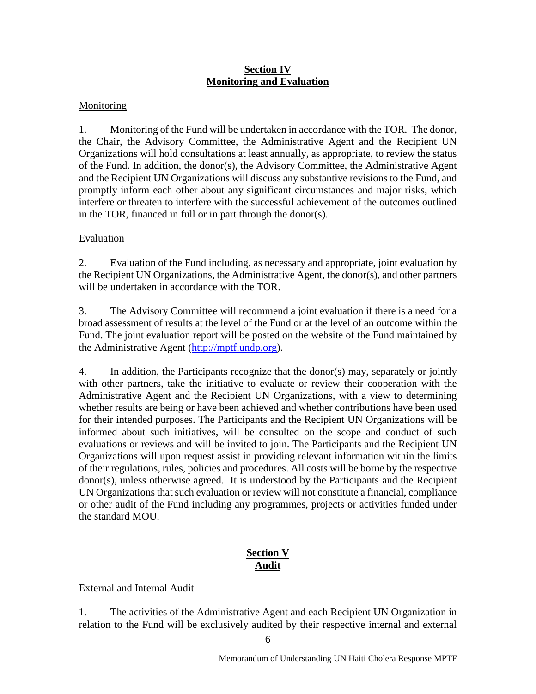## **Section IV Monitoring and Evaluation**

## **Monitoring**

1. Monitoring of the Fund will be undertaken in accordance with the TOR. The donor, the Chair, the Advisory Committee, the Administrative Agent and the Recipient UN Organizations will hold consultations at least annually, as appropriate, to review the status of the Fund. In addition, the donor(s), the Advisory Committee, the Administrative Agent and the Recipient UN Organizations will discuss any substantive revisions to the Fund, and promptly inform each other about any significant circumstances and major risks, which interfere or threaten to interfere with the successful achievement of the outcomes outlined in the TOR, financed in full or in part through the donor(s).

## Evaluation

2. Evaluation of the Fund including, as necessary and appropriate, joint evaluation by the Recipient UN Organizations, the Administrative Agent, the donor(s), and other partners will be undertaken in accordance with the TOR.

3. The Advisory Committee will recommend a joint evaluation if there is a need for a broad assessment of results at the level of the Fund or at the level of an outcome within the Fund. The joint evaluation report will be posted on the website of the Fund maintained by the Administrative Agent [\(http://mptf.undp.org\)](http://mptf.undp.org/).

4. In addition, the Participants recognize that the donor(s) may, separately or jointly with other partners, take the initiative to evaluate or review their cooperation with the Administrative Agent and the Recipient UN Organizations, with a view to determining whether results are being or have been achieved and whether contributions have been used for their intended purposes. The Participants and the Recipient UN Organizations will be informed about such initiatives, will be consulted on the scope and conduct of such evaluations or reviews and will be invited to join. The Participants and the Recipient UN Organizations will upon request assist in providing relevant information within the limits of their regulations, rules, policies and procedures. All costs will be borne by the respective donor(s), unless otherwise agreed. It is understood by the Participants and the Recipient UN Organizations that such evaluation or review will not constitute a financial, compliance or other audit of the Fund including any programmes, projects or activities funded under the standard MOU.

# **Section V Audit**

## External and Internal Audit

1. The activities of the Administrative Agent and each Recipient UN Organization in relation to the Fund will be exclusively audited by their respective internal and external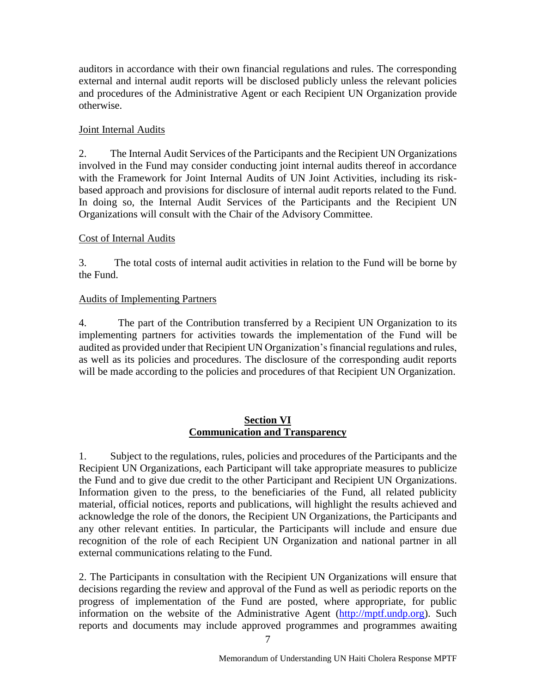auditors in accordance with their own financial regulations and rules. The corresponding external and internal audit reports will be disclosed publicly unless the relevant policies and procedures of the Administrative Agent or each Recipient UN Organization provide otherwise.

## Joint Internal Audits

2. The Internal Audit Services of the Participants and the Recipient UN Organizations involved in the Fund may consider conducting joint internal audits thereof in accordance with the Framework for Joint Internal Audits of UN Joint Activities, including its riskbased approach and provisions for disclosure of internal audit reports related to the Fund. In doing so, the Internal Audit Services of the Participants and the Recipient UN Organizations will consult with the Chair of the Advisory Committee.

## Cost of Internal Audits

3. The total costs of internal audit activities in relation to the Fund will be borne by the Fund.

## Audits of Implementing Partners

4. The part of the Contribution transferred by a Recipient UN Organization to its implementing partners for activities towards the implementation of the Fund will be audited as provided under that Recipient UN Organization's financial regulations and rules, as well as its policies and procedures. The disclosure of the corresponding audit reports will be made according to the policies and procedures of that Recipient UN Organization.

## **Section VI Communication and Transparency**

1. Subject to the regulations, rules, policies and procedures of the Participants and the Recipient UN Organizations, each Participant will take appropriate measures to publicize the Fund and to give due credit to the other Participant and Recipient UN Organizations. Information given to the press, to the beneficiaries of the Fund, all related publicity material, official notices, reports and publications, will highlight the results achieved and acknowledge the role of the donors, the Recipient UN Organizations, the Participants and any other relevant entities. In particular, the Participants will include and ensure due recognition of the role of each Recipient UN Organization and national partner in all external communications relating to the Fund.

2. The Participants in consultation with the Recipient UN Organizations will ensure that decisions regarding the review and approval of the Fund as well as periodic reports on the progress of implementation of the Fund are posted, where appropriate, for public information on the website of the Administrative Agent [\(http://mptf.undp.org\)](http://mptf.undp.org/). Such reports and documents may include approved programmes and programmes awaiting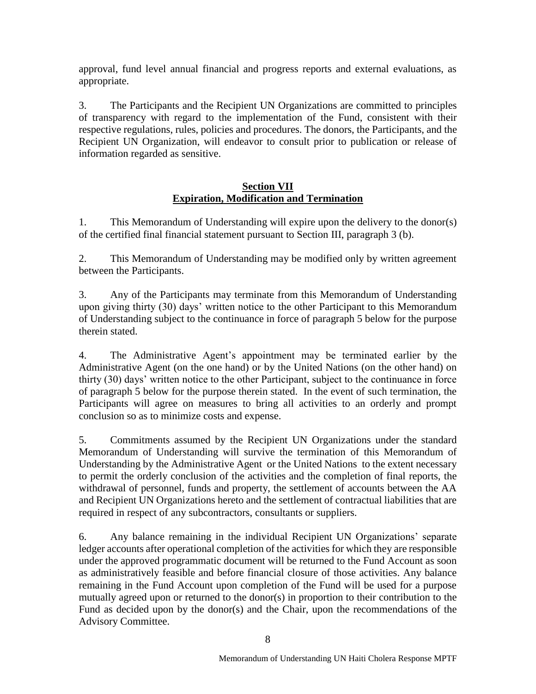approval, fund level annual financial and progress reports and external evaluations, as appropriate.

3. The Participants and the Recipient UN Organizations are committed to principles of transparency with regard to the implementation of the Fund, consistent with their respective regulations, rules, policies and procedures. The donors, the Participants, and the Recipient UN Organization, will endeavor to consult prior to publication or release of information regarded as sensitive.

## **Section VII Expiration, Modification and Termination**

1. This Memorandum of Understanding will expire upon the delivery to the donor(s) of the certified final financial statement pursuant to Section III, paragraph 3 (b).

2. This Memorandum of Understanding may be modified only by written agreement between the Participants.

3. Any of the Participants may terminate from this Memorandum of Understanding upon giving thirty (30) days' written notice to the other Participant to this Memorandum of Understanding subject to the continuance in force of paragraph 5 below for the purpose therein stated.

4. The Administrative Agent's appointment may be terminated earlier by the Administrative Agent (on the one hand) or by the United Nations (on the other hand) on thirty (30) days' written notice to the other Participant, subject to the continuance in force of paragraph 5 below for the purpose therein stated. In the event of such termination, the Participants will agree on measures to bring all activities to an orderly and prompt conclusion so as to minimize costs and expense.

5. Commitments assumed by the Recipient UN Organizations under the standard Memorandum of Understanding will survive the termination of this Memorandum of Understanding by the Administrative Agent or the United Nations to the extent necessary to permit the orderly conclusion of the activities and the completion of final reports, the withdrawal of personnel, funds and property, the settlement of accounts between the AA and Recipient UN Organizations hereto and the settlement of contractual liabilities that are required in respect of any subcontractors, consultants or suppliers.

6. Any balance remaining in the individual Recipient UN Organizations' separate ledger accounts after operational completion of the activities for which they are responsible under the approved programmatic document will be returned to the Fund Account as soon as administratively feasible and before financial closure of those activities. Any balance remaining in the Fund Account upon completion of the Fund will be used for a purpose mutually agreed upon or returned to the donor(s) in proportion to their contribution to the Fund as decided upon by the donor(s) and the Chair, upon the recommendations of the Advisory Committee.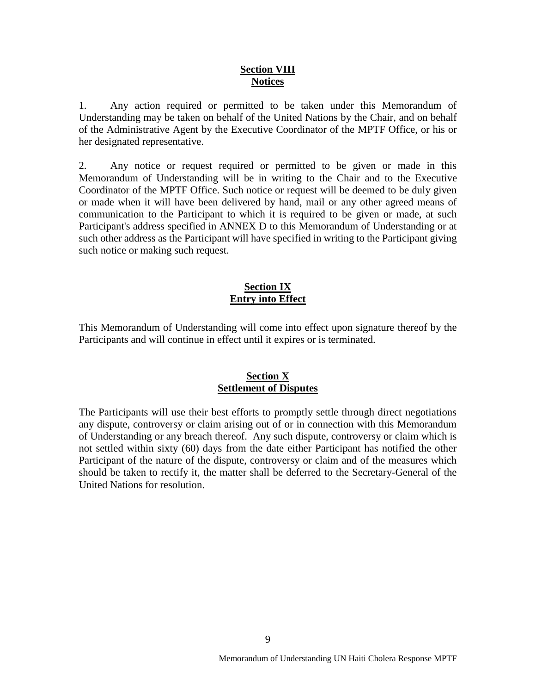#### **Section VIII Notices**

1. Any action required or permitted to be taken under this Memorandum of Understanding may be taken on behalf of the United Nations by the Chair, and on behalf of the Administrative Agent by the Executive Coordinator of the MPTF Office, or his or her designated representative.

2. Any notice or request required or permitted to be given or made in this Memorandum of Understanding will be in writing to the Chair and to the Executive Coordinator of the MPTF Office. Such notice or request will be deemed to be duly given or made when it will have been delivered by hand, mail or any other agreed means of communication to the Participant to which it is required to be given or made, at such Participant's address specified in ANNEX D to this Memorandum of Understanding or at such other address as the Participant will have specified in writing to the Participant giving such notice or making such request.

## **Section IX Entry into Effect**

This Memorandum of Understanding will come into effect upon signature thereof by the Participants and will continue in effect until it expires or is terminated.

## **Section X Settlement of Disputes**

The Participants will use their best efforts to promptly settle through direct negotiations any dispute, controversy or claim arising out of or in connection with this Memorandum of Understanding or any breach thereof. Any such dispute, controversy or claim which is not settled within sixty (60) days from the date either Participant has notified the other Participant of the nature of the dispute, controversy or claim and of the measures which should be taken to rectify it, the matter shall be deferred to the Secretary-General of the United Nations for resolution.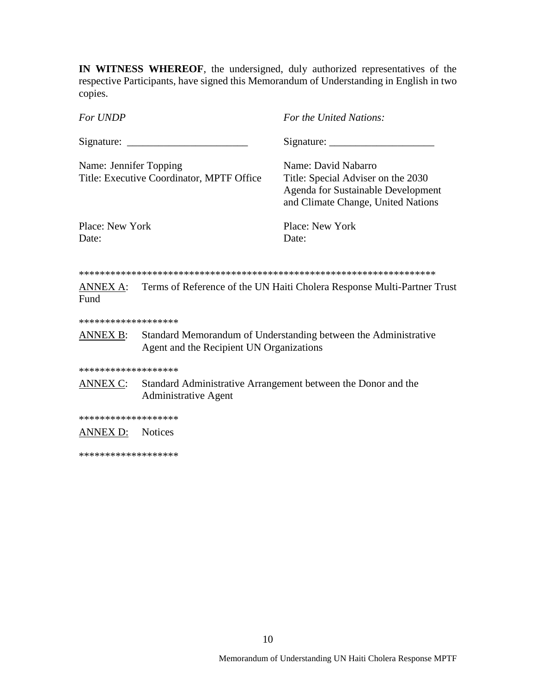**IN WITNESS WHEREOF**, the undersigned, duly authorized representatives of the respective Participants, have signed this Memorandum of Understanding in English in two copies.

*For UNDP For the United Nations:*  $Signature: \_\_\_\_\_\_$  Signature:  $\_\_\_\_\_\_$ Name: Jennifer Topping Name: David Nabarro Title: Executive Coordinator, MPTF Office Title: Special Adviser on the 2030 Agenda for Sustainable Development and Climate Change, United Nations Place: New York Place: New York Date: Date: \*\*\*\*\*\*\*\*\*\*\*\*\*\*\*\*\*\*\*\*\*\*\*\*\*\*\*\*\*\*\*\*\*\*\*\*\*\*\*\*\*\*\*\*\*\*\*\*\*\*\*\*\*\*\*\*\*\*\*\*\*\*\*\*\*\*\*\* ANNEX A: Terms of Reference of the UN Haiti Cholera Response Multi-Partner Trust

\*\*\*\*\*\*\*\*\*\*\*\*\*\*\*\*\*\*\*

Fund

ANNEX B: Standard Memorandum of Understanding between the Administrative Agent and the Recipient UN Organizations

\*\*\*\*\*\*\*\*\*\*\*\*\*\*\*\*\*\*\*

ANNEX C: Standard Administrative Arrangement between the Donor and the Administrative Agent

\*\*\*\*\*\*\*\*\*\*\*\*\*\*\*\*\*\*\*

ANNEX D: Notices

\*\*\*\*\*\*\*\*\*\*\*\*\*\*\*\*\*\*\*